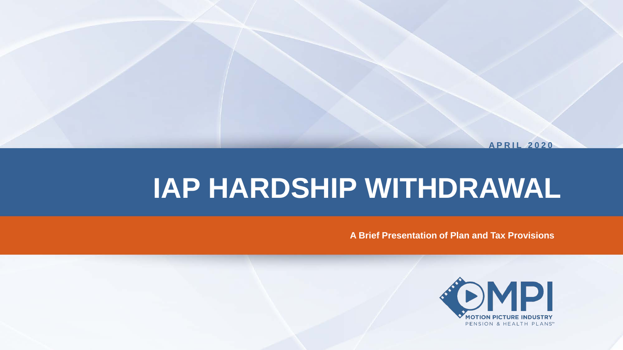**APRIL 2020**

# **IAP HARDSHIP WITHDRAWAL**

**A Brief Presentation of Plan and Tax Provisions** 

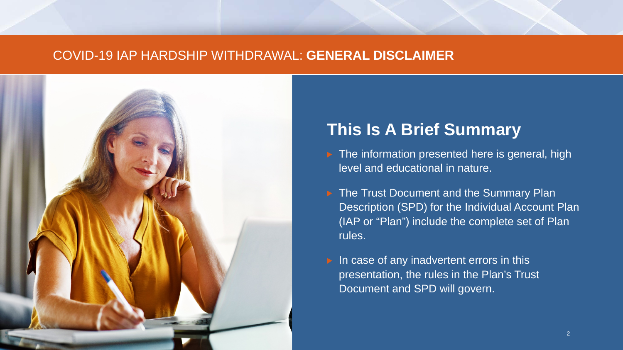#### COVID-19 IAP HARDSHIP WITHDRAWAL: **GENERAL DISCLAIMER**



# **This Is A Brief Summary**

- $\triangleright$  The information presented here is general, high level and educational in nature.
- ▶ The Trust Document and the Summary Plan Description (SPD) for the Individual Account Plan (IAP or "Plan") include the complete set of Plan rules.
- $\triangleright$  In case of any inadvertent errors in this presentation, the rules in the Plan's Trust Document and SPD will govern.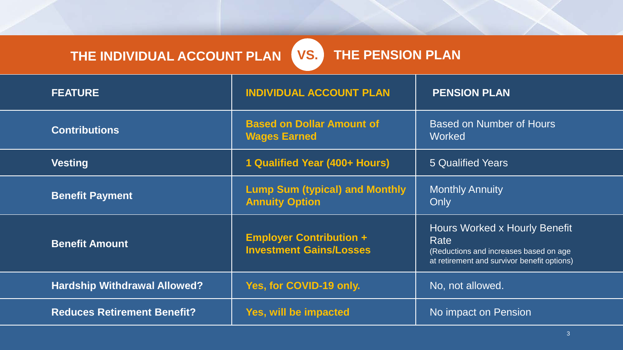# THE INDIVIDUAL ACCOUNT PLAN **VS.**

## **THE PENSION PLAN**

| <b>FEATURE</b>                      | <b>INDIVIDUAL ACCOUNT PLAN</b>                                   | <b>PENSION PLAN</b>                                                                                                            |  |  |
|-------------------------------------|------------------------------------------------------------------|--------------------------------------------------------------------------------------------------------------------------------|--|--|
| <b>Contributions</b>                | <b>Based on Dollar Amount of</b><br><b>Wages Earned</b>          | <b>Based on Number of Hours</b><br><b>Worked</b>                                                                               |  |  |
| <b>Vesting</b>                      | 1 Qualified Year (400+ Hours)                                    | 5 Qualified Years                                                                                                              |  |  |
| <b>Benefit Payment</b>              | <b>Lump Sum (typical) and Monthly</b><br><b>Annuity Option</b>   | <b>Monthly Annuity</b><br>Only                                                                                                 |  |  |
| <b>Benefit Amount</b>               | <b>Employer Contribution +</b><br><b>Investment Gains/Losses</b> | Hours Worked x Hourly Benefit<br>Rate<br>(Reductions and increases based on age<br>at retirement and survivor benefit options) |  |  |
| <b>Hardship Withdrawal Allowed?</b> | Yes, for COVID-19 only.                                          | No, not allowed.                                                                                                               |  |  |
| <b>Reduces Retirement Benefit?</b>  | Yes, will be impacted                                            | No impact on Pension                                                                                                           |  |  |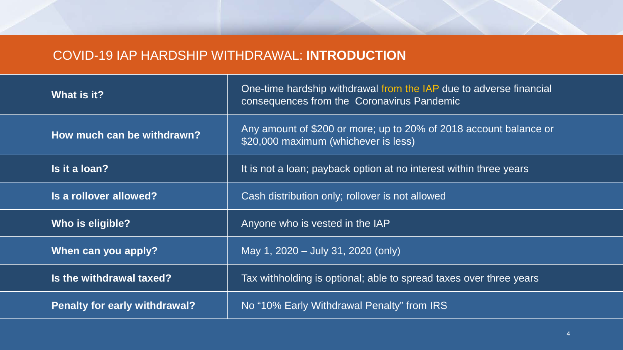### COVID-19 IAP HARDSHIP WITHDRAWAL: **INTRODUCTION**

| What is it?                          | One-time hardship withdrawal from the IAP due to adverse financial<br>consequences from the Coronavirus Pandemic |  |  |
|--------------------------------------|------------------------------------------------------------------------------------------------------------------|--|--|
| How much can be withdrawn?           | Any amount of \$200 or more; up to 20% of 2018 account balance or<br>\$20,000 maximum (whichever is less)        |  |  |
| Is it a loan?                        | It is not a loan; payback option at no interest within three years                                               |  |  |
| Is a rollover allowed?               | Cash distribution only; rollover is not allowed                                                                  |  |  |
| Who is eligible?                     | Anyone who is vested in the IAP                                                                                  |  |  |
| When can you apply?                  | May 1, 2020 - July 31, 2020 (only)                                                                               |  |  |
| Is the withdrawal taxed?             | Tax withholding is optional; able to spread taxes over three years                                               |  |  |
| <b>Penalty for early withdrawal?</b> | No "10% Early Withdrawal Penalty" from IRS                                                                       |  |  |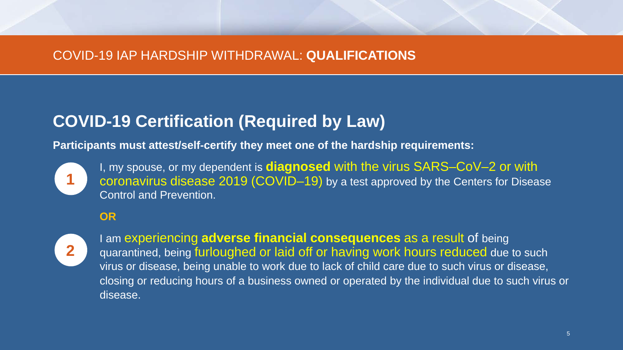#### COVID-19 IAP HARDSHIP WITHDRAWAL: **QUALIFICATIONS**

# **COVID-19 Certification (Required by Law)**

**Participants must attest/self-certify they meet one of the hardship requirements:**



I, my spouse, or my dependent is **diagnosed** with the virus SARS–CoV–2 or with coronavirus disease 2019 (COVID–19) by a test approved by the Centers for Disease Control and Prevention.

#### **OR**



I am experiencing **adverse financial consequences** as a result of being quarantined, being furloughed or laid off or having work hours reduced due to such virus or disease, being unable to work due to lack of child care due to such virus or disease, closing or reducing hours of a business owned or operated by the individual due to such virus or disease.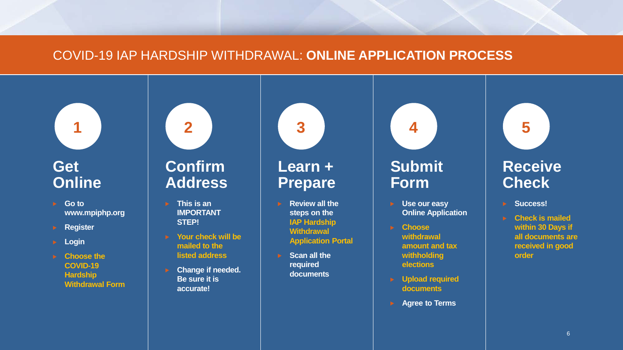#### COVID-19 IAP HARDSHIP WITHDRAWAL: **ONLINE APPLICATION PROCESS**

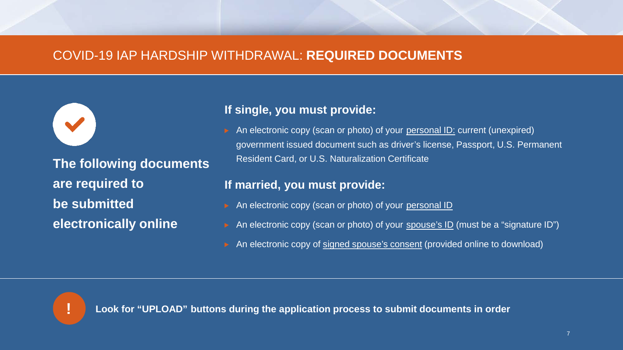#### COVID-19 IAP HARDSHIP WITHDRAWAL: **REQUIRED DOCUMENTS**

**The following documents are required to be submitted electronically online**

#### **If single, you must provide:**

An electronic copy (scan or photo) of your personal ID: current (unexpired) government issued document such as driver's license, Passport, U.S. Permanent Resident Card, or U.S. Naturalization Certificate

#### **If married, you must provide:**

- An electronic copy (scan or photo) of your personal ID
- An electronic copy (scan or photo) of your spouse's ID (must be a "signature ID")
- An electronic copy of signed spouse's consent (provided online to download)



**! Look for "UPLOAD" buttons during the application process to submit documents in order**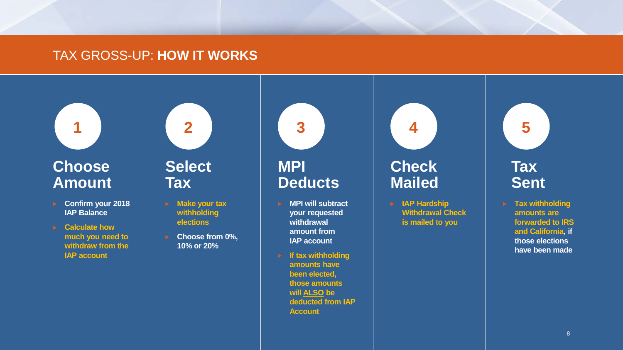#### TAX GROSS-UP: **HOW IT WORKS**



**1**

- **Confirm your 2018 IAP Balance**
- **Calculate how much you need to withdraw from the IAP account**



- **Make your tax withholding elections**
	- **Choose from 0%, 10% or 20%**



- **MPI will subtract your requested withdrawal amount from IAP account**
- **If tax withholding amounts have been elected, those amounts will ALSO be deducted from IAP Account**



**4**

**IAP Hardship Withdrawal Check is mailed to you**

**Tax Sent**

**5**

**Tax withholding amounts are forwarded to IRS and California, if those elections have been made**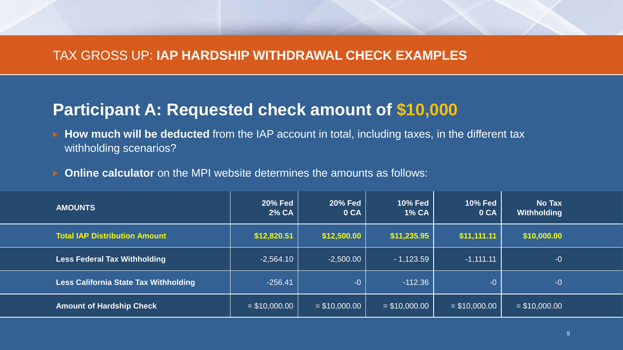#### TAX GROSS UP: **IAP HARDSHIP WITHDRAWAL CHECK EXAMPLES**

## **Participant A: Requested check amount of \$10,000**

- **How much will be deducted** from the IAP account in total, including taxes, in the different tax withholding scenarios?
- **Online calculator** on the MPI website determines the amounts as follows:

| <b>AMOUNTS</b>                               | <b>20% Fed</b><br>2% CA | <b>20% Fed</b><br>0 CA | <b>10% Fed</b><br><b>1% CA</b> | <b>10% Fed</b><br>0 CA | <b>No Tax</b><br>Withholding |  |
|----------------------------------------------|-------------------------|------------------------|--------------------------------|------------------------|------------------------------|--|
| <b>Total IAP Distribution Amount</b>         | \$12,820.51             | \$12,500.00            | \$11,235.95                    | \$11,111.11            | \$10,000.00                  |  |
| <b>Less Federal Tax Withholding</b>          | $-2,564.10$             | $-2,500.00$            | $-1,123.59$                    | $-1,111.11$            | $-0$                         |  |
| <b>Less California State Tax Withholding</b> | $-256.41$               | $-0$                   | $-112.36$                      | $-0$                   | $-0$                         |  |
| <b>Amount of Hardship Check</b>              | $= $10,000.00$          | $= $10,000.00$         | $= $10,000.00$                 | $= $10,000.00$         | $=$ \$10,000.00              |  |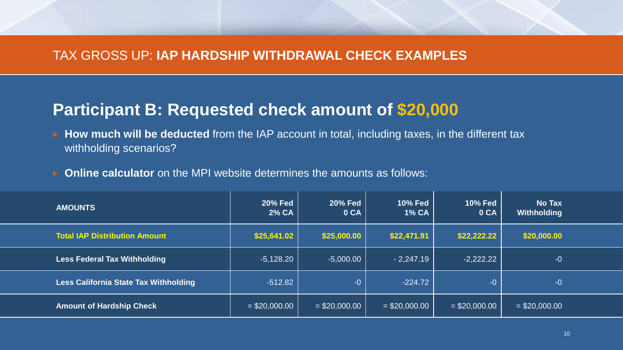#### TAX GROSS UP: **IAP HARDSHIP WITHDRAWAL CHECK EXAMPLES**

## **Participant B: Requested check amount of \$20,000**

- **How much will be deducted** from the IAP account in total, including taxes, in the different tax withholding scenarios?
- **Online calculator** on the MPI website determines the amounts as follows:

| <b>AMOUNTS</b>                               | <b>20% Fed</b><br>2% CA | <b>20% Fed</b><br>0 CA | <b>10% Fed</b><br><b>1% CA</b> | <b>10% Fed</b><br>0 CA | No Tax<br>Withholding |  |
|----------------------------------------------|-------------------------|------------------------|--------------------------------|------------------------|-----------------------|--|
| <b>Total IAP Distribution Amount</b>         | \$25,641.02             | \$25,000.00            | \$22,471.91                    | \$22,222.22            | \$20,000.00           |  |
| <b>Less Federal Tax Withholding</b>          | $-5,128.20$             | $-5,000.00$            | $-2,247.19$                    | $-2,222.22$            | $-0$                  |  |
| <b>Less California State Tax Withholding</b> | $-512.82$               | $-0$                   | $-224.72$                      | $-0$                   | $-0$                  |  |
| <b>Amount of Hardship Check</b>              | $=$ \$20,000.00         | $= $20,000.00$         | $=$ \$20,000.00                | $= $20,000.00$         | $=$ \$20,000.00       |  |